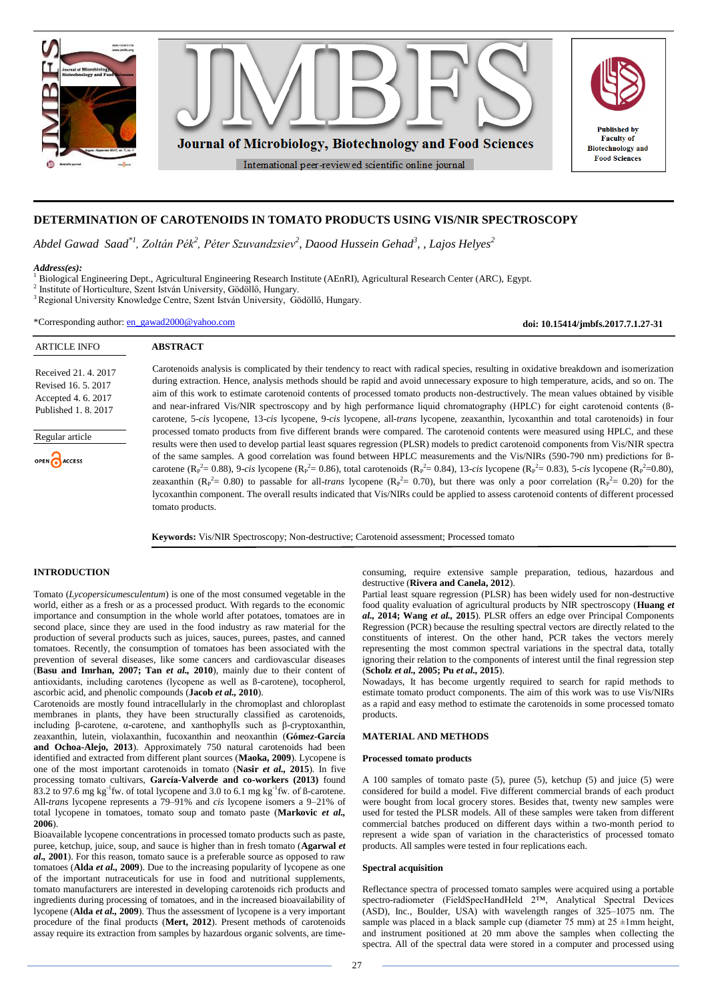

# **DETERMINATION OF CAROTENOIDS IN TOMATO PRODUCTS USING VIS/NIR SPECTROSCOPY**

*Abdel Gawad Saad\*1, Zoltán Pék<sup>2</sup> , Péter Szuvandzsiev<sup>2</sup> , Daood Hussein Gehad<sup>3</sup> , , Lajos Helyes<sup>2</sup>*

### *Address(es):*

- <sup>1</sup> Biological Engineering Dept., Agricultural Engineering Research Institute (AEnRI), Agricultural Research Center (ARC), Egypt.
- 2 Institute of Horticulture, Szent István University, Gödöllő, Hungary.
- <sup>3</sup> Regional University Knowledge Centre, Szent István University, Gödöllő, Hungary.

\*Corresponding author: [en\\_gawad2000@yahoo.com](mailto:en_gawad2000@yahoo.com)

**doi: 10.15414/jmbfs.2017.7.1.27-31**

| <b>ARTICLE INFO</b>                                                                      | <b>ABSTRACT</b>                                                                                                                                                                                                                                                                                                                                                                                                                                                                                                                                                                                                                                                                                                                                                                                                                                                                                                   |  |  |  |  |  |  |
|------------------------------------------------------------------------------------------|-------------------------------------------------------------------------------------------------------------------------------------------------------------------------------------------------------------------------------------------------------------------------------------------------------------------------------------------------------------------------------------------------------------------------------------------------------------------------------------------------------------------------------------------------------------------------------------------------------------------------------------------------------------------------------------------------------------------------------------------------------------------------------------------------------------------------------------------------------------------------------------------------------------------|--|--|--|--|--|--|
| Received 21, 4, 2017<br>Revised 16, 5, 2017<br>Accepted 4.6.2017<br>Published 1, 8, 2017 | Carotenoids analysis is complicated by their tendency to react with radical species, resulting in oxidative breakdown and isomerization<br>during extraction. Hence, analysis methods should be rapid and avoid unnecessary exposure to high temperature, acids, and so on. The<br>aim of this work to estimate carotenoid contents of processed tomato products non-destructively. The mean values obtained by visible<br>and near-infrared Vis/NIR spectroscopy and by high performance liquid chromatography (HPLC) for eight carotenoid contents (B-<br>carotene, 5-cis lycopene, 13-cis lycopene, 9-cis lycopene, all- <i>trans</i> lycopene, zeaxanthin, lycoxanthin and total carotenoids) in four                                                                                                                                                                                                         |  |  |  |  |  |  |
| Regular article<br>OPEN ACCESS                                                           | processed tomato products from five different brands were compared. The carotenoid contents were measured using HPLC, and these<br>results were then used to develop partial least squares regression (PLSR) models to predict carotenoid components from Vis/NIR spectra<br>of the same samples. A good correlation was found between HPLC measurements and the Vis/NIRs (590-790 nm) predictions for B-<br>carotene ( $R_P^2 = 0.88$ ), 9-cis lycopene ( $R_P^2 = 0.86$ ), total carotenoids ( $R_P^2 = 0.84$ ), 13-cis lycopene ( $R_P^2 = 0.83$ ), 5-cis lycopene ( $R_P^2 = 0.80$ ),<br>zeaxanthin ( $R_P^2$ 0.80) to passable for all- <i>trans</i> lycopene ( $R_P^2$ 0.70), but there was only a poor correlation ( $R_P^2$ 0.20) for the<br>lycoxanthin component. The overall results indicated that Vis/NIRs could be applied to assess carotenoid contents of different processed<br>tomato products. |  |  |  |  |  |  |

**Keywords:** Vis/NIR Spectroscopy; Non-destructive; Carotenoid assessment; Processed tomato

# **INTRODUCTION**

Tomato (*Lycopersicumesculentum*) is one of the most consumed vegetable in the world, either as a fresh or as a processed product. With regards to the economic importance and consumption in the whole world after potatoes, tomatoes are in second place, since they are used in the food industry as raw material for the production of several products such as juices, sauces, purees, pastes, and canned tomatoes. Recently, the consumption of tomatoes has been associated with the prevention of several diseases, like some cancers and cardiovascular diseases (**Basu and Imrhan, 2007; Tan** *et al.,* **2010**), mainly due to their content of antioxidants, including carotenes (lycopene as well as ß-carotene), tocopherol, ascorbic acid, and phenolic compounds (**Jacob** *et al.,* **2010**).

Carotenoids are mostly found intracellularly in the chromoplast and chloroplast membranes in plants, they have been structurally classified as carotenoids, including β-carotene, α-carotene, and xanthophylls such as β-cryptoxanthin, zeaxanthin, lutein, violaxanthin, fucoxanthin and neoxanthin (**Gómez-García and Ochoa-Alejo, 2013**). Approximately 750 natural carotenoids had been identified and extracted from different plant sources (**Maoka, 2009**). Lycopene is one of the most important carotenoids in tomato (**Nasir** *et al.,* **2015**). In five processing tomato cultivars, **García-Valverde and co-workers (2013)** found 83.2 to 97.6 mg  $kg^{-1}$ fw. of total lycopene and 3.0 to 6.1 mg  $kg^{-1}$ fw. of ß-carotene. All-*trans* lycopene represents a 79–91% and *cis* lycopene isomers a 9–21% of total lycopene in tomatoes, tomato soup and tomato paste (**Markovic** *et al.,* **2006**).

Bioavailable lycopene concentrations in processed tomato products such as paste, puree, ketchup, juice, soup, and sauce is higher than in fresh tomato (**Agarwal** *et al.,* **2001**). For this reason, tomato sauce is a preferable source as opposed to raw tomatoes (**Alda** *et al.,* **2009**). Due to the increasing popularity of lycopene as one of the important nutraceuticals for use in food and nutritional supplements, tomato manufacturers are interested in developing carotenoids rich products and ingredients during processing of tomatoes, and in the increased bioavailability of lycopene (**Alda** *et al.,* **2009**). Thus the assessment of lycopene is a very important procedure of the final products (**Mert, 2012**). Present methods of carotenoids assay require its extraction from samples by hazardous organic solvents, are timeconsuming, require extensive sample preparation, tedious, hazardous and destructive (**Rivera and Canela, 2012**).

Partial least square regression (PLSR) has been widely used for non-destructive food quality evaluation of agricultural products by NIR spectroscopy (**Huang** *et al.,* **2014; Wang** *et al.,* **2015**). PLSR offers an edge over Principal Components Regression (PCR) because the resulting spectral vectors are directly related to the constituents of interest. On the other hand, PCR takes the vectors merely representing the most common spectral variations in the spectral data, totally ignoring their relation to the components of interest until the final regression step (**Scholz** *et al.,* **2005; Pu** *et al.,* **2015**).

Nowadays, It has become urgently required to search for rapid methods to estimate tomato product components. The aim of this work was to use Vis/NIRs as a rapid and easy method to estimate the carotenoids in some processed tomato products.

# **MATERIAL AND METHODS**

#### **Processed tomato products**

A 100 samples of tomato paste (5), puree (5), ketchup (5) and juice (5) were considered for build a model. Five different commercial brands of each product were bought from local grocery stores. Besides that, twenty new samples were used for tested the PLSR models. All of these samples were taken from different commercial batches produced on different days within a two-month period to represent a wide span of variation in the characteristics of processed tomato products. All samples were tested in four replications each.

### **Spectral acquisition**

Reflectance spectra of processed tomato samples were acquired using a portable spectro-radiometer (FieldSpecHandHeld 2™, Analytical Spectral Devices (ASD), Inc., Boulder, USA) with wavelength ranges of 325–1075 nm. The sample was placed in a black sample cup (diameter  $\frac{75 \text{ mm}}{25 \pm 1 \text{ mm}}$  height, and instrument positioned at 20 mm above the samples when collecting the spectra. All of the spectral data were stored in a computer and processed using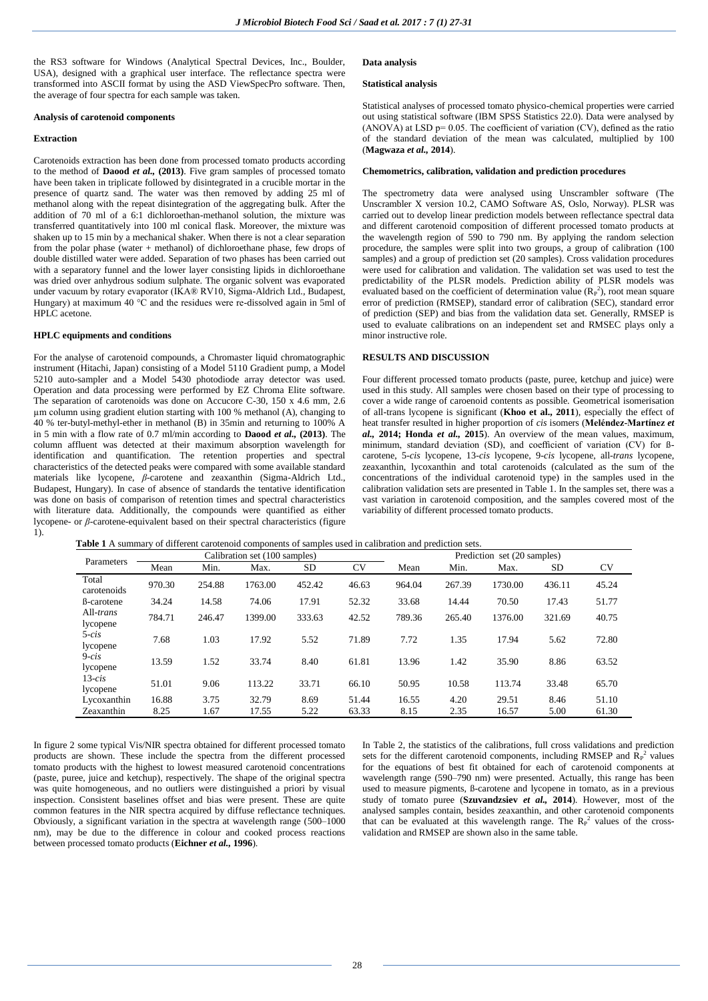the RS3 software for Windows (Analytical Spectral Devices, Inc., Boulder, USA), designed with a graphical user interface. The reflectance spectra were transformed into ASCII format by using the ASD ViewSpecPro software. Then, the average of four spectra for each sample was taken.

#### **Analysis of carotenoid components**

# **Extraction**

Carotenoids extraction has been done from processed tomato products according to the method of **Daood** *et al.,* **(2013)**. Five gram samples of processed tomato have been taken in triplicate followed by disintegrated in a crucible mortar in the presence of quartz sand. The water was then removed by adding 25 ml of methanol along with the repeat disintegration of the aggregating bulk. After the addition of 70 ml of a 6:1 dichloroethan-methanol solution, the mixture was transferred quantitatively into 100 ml conical flask. Moreover, the mixture was shaken up to 15 min by a mechanical shaker. When there is not a clear separation from the polar phase (water + methanol) of dichloroethane phase, few drops of double distilled water were added. Separation of two phases has been carried out with a separatory funnel and the lower layer consisting lipids in dichloroethane was dried over anhydrous sodium sulphate. The organic solvent was evaporated under vacuum by rotary evaporator (IKA® RV10, Sigma-Aldrich Ltd., Budapest, Hungary) at maximum 40 °C and the residues were re-dissolved again in 5ml of HPLC acetone.

## **HPLC equipments and conditions**

For the analyse of carotenoid compounds, a Chromaster liquid chromatographic instrument (Hitachi, Japan) consisting of a Model 5110 Gradient pump, a Model 5210 auto-sampler and a Model 5430 photodiode array detector was used. Operation and data processing were performed by EZ Chroma Elite software. The separation of carotenoids was done on Accucore C-30, 150 x 4.6 mm, 2.6 µm column using gradient elution starting with 100 % methanol (A), changing to 40 % ter-butyl-methyl-ether in methanol (B) in 35min and returning to 100% A in 5 min with a flow rate of 0.7 ml/min according to **Daood** *et al.,* **(2013)**. The column affluent was detected at their maximum absorption wavelength for identification and quantification. The retention properties and spectral characteristics of the detected peaks were compared with some available standard materials like lycopene, *β*-carotene and zeaxanthin (Sigma-Aldrich Ltd., Budapest, Hungary). In case of absence of standards the tentative identification was done on basis of comparison of retention times and spectral characteristics with literature data. Additionally, the compounds were quantified as either lycopene- or *β*-carotene-equivalent based on their spectral characteristics (figure 1).

#### **Data analysis**

### **Statistical analysis**

Statistical analyses of processed tomato physico-chemical properties were carried out using statistical software (IBM SPSS Statistics 22.0). Data were analysed by (ANOVA) at LSD  $p= 0.05$ . The coefficient of variation (CV), defined as the ratio of the standard deviation of the mean was calculated, multiplied by 100 (**Magwaza** *et al.,* **2014**).

#### **Chemometrics, calibration, validation and prediction procedures**

The spectrometry data were analysed using Unscrambler software (The Unscrambler X version 10.2, CAMO Software AS, Oslo, Norway). PLSR was carried out to develop linear prediction models between reflectance spectral data and different carotenoid composition of different processed tomato products at the wavelength region of 590 to 790 nm. By applying the random selection procedure, the samples were split into two groups, a group of calibration (100 samples) and a group of prediction set (20 samples). Cross validation procedures were used for calibration and validation. The validation set was used to test the predictability of the PLSR models. Prediction ability of PLSR models was evaluated based on the coefficient of determination value  $(R_P^2)$ , root mean square error of prediction (RMSEP), standard error of calibration (SEC), standard error of prediction (SEP) and bias from the validation data set. Generally, RMSEP is used to evaluate calibrations on an independent set and RMSEC plays only a minor instructive role.

# **RESULTS AND DISCUSSION**

Four different processed tomato products (paste, puree, ketchup and juice) were used in this study. All samples were chosen based on their type of processing to cover a wide range of caroenoid contents as possible. Geometrical isomerisation of all-trans lycopene is significant (**Khoo et al., 2011**), especially the effect of heat transfer resulted in higher proportion of *cis* isomers (**Meléndez-Martínez** *et al.,* **2014; Honda** *et al.,* **2015**). An overview of the mean values, maximum, minimum, standard deviation (SD), and coefficient of variation (CV) for ßcarotene, 5-*cis* lycopene, 13-*cis* lycopene, 9-*cis* lycopene, all-*trans* lycopene, zeaxanthin, lycoxanthin and total carotenoids (calculated as the sum of the concentrations of the individual carotenoid type) in the samples used in the calibration validation sets are presented in Table 1. In the samples set, there was a vast variation in carotenoid composition, and the samples covered most of the variability of different processed tomato products.

|  | <b>Table 1</b> A summary of different carotenoid components of samples used in calibration and prediction sets. |
|--|-----------------------------------------------------------------------------------------------------------------|
|--|-----------------------------------------------------------------------------------------------------------------|

| Parameters            |        |        | Calibration set (100 samples) |        |           | Prediction set (20 samples) |        |         |           |           |  |  |
|-----------------------|--------|--------|-------------------------------|--------|-----------|-----------------------------|--------|---------|-----------|-----------|--|--|
|                       | Mean   | Min.   | Max.                          | SD     | <b>CV</b> | Mean                        | Min.   | Max.    | <b>SD</b> | <b>CV</b> |  |  |
| Total<br>carotenoids  | 970.30 | 254.88 | 1763.00                       | 452.42 | 46.63     | 964.04                      | 267.39 | 1730.00 | 436.11    | 45.24     |  |  |
| B-carotene            | 34.24  | 14.58  | 74.06                         | 17.91  | 52.32     | 33.68                       | 14.44  | 70.50   | 17.43     | 51.77     |  |  |
| All-trans<br>lycopene | 784.71 | 246.47 | 1399.00                       | 333.63 | 42.52     | 789.36                      | 265.40 | 1376.00 | 321.69    | 40.75     |  |  |
| $5-cis$<br>lycopene   | 7.68   | 1.03   | 17.92                         | 5.52   | 71.89     | 7.72                        | 1.35   | 17.94   | 5.62      | 72.80     |  |  |
| $9-cis$<br>lycopene   | 13.59  | 1.52   | 33.74                         | 8.40   | 61.81     | 13.96                       | 1.42   | 35.90   | 8.86      | 63.52     |  |  |
| $13-cis$<br>lycopene  | 51.01  | 9.06   | 113.22                        | 33.71  | 66.10     | 50.95                       | 10.58  | 113.74  | 33.48     | 65.70     |  |  |
| Lycoxanthin           | 16.88  | 3.75   | 32.79                         | 8.69   | 51.44     | 16.55                       | 4.20   | 29.51   | 8.46      | 51.10     |  |  |
| Zeaxanthin            | 8.25   | 1.67   | 17.55                         | 5.22   | 63.33     | 8.15                        | 2.35   | 16.57   | 5.00      | 61.30     |  |  |

In figure 2 some typical Vis/NIR spectra obtained for different processed tomato products are shown. These include the spectra from the different processed tomato products with the highest to lowest measured carotenoid concentrations (paste, puree, juice and ketchup), respectively. The shape of the original spectra was quite homogeneous, and no outliers were distinguished a priori by visual inspection. Consistent baselines offset and bias were present. These are quite common features in the NIR spectra acquired by diffuse reflectance techniques. Obviously, a significant variation in the spectra at wavelength range (500–1000 nm), may be due to the difference in colour and cooked process reactions between processed tomato products (**Eichner** *et al.,* **1996**).

In Table 2, the statistics of the calibrations, full cross validations and prediction sets for the different carotenoid components, including RMSEP and  $\overline{R}_P^2$  values for the equations of best fit obtained for each of carotenoid components at wavelength range (590–790 nm) were presented. Actually, this range has been used to measure pigments, B-carotene and lycopene in tomato, as in a previous study of tomato puree (**Szuvandzsiev** *et al.,* **2014**). However, most of the analysed samples contain, besides zeaxanthin, and other carotenoid components that can be evaluated at this wavelength range. The  $R_P^2$  values of the crossvalidation and RMSEP are shown also in the same table.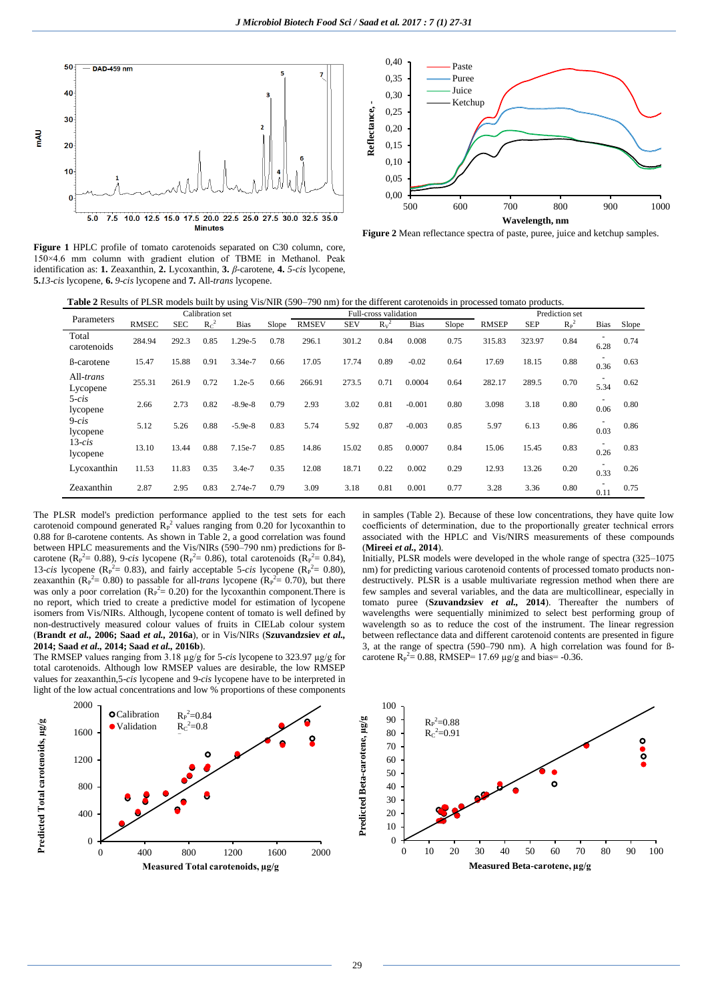

**Figure 1** HPLC profile of tomato carotenoids separated on C30 column, core, 150×4.6 mm column with gradient elution of TBME in Methanol. Peak identification as: **1.** Zeaxanthin, **2.** Lycoxanthin, **3.** *β*-carotene, **4.** *5-cis* lycopene, **5.***13-cis* lycopene, **6.** *9-cis* lycopene and **7.** All-*trans* lycopene.





**Table 2** Results of PLSR models built by using Vis/NIR (590–790 nm) for the different carotenoids in processed tomato products.

| Parameters            | Calibration set |            |         |             |       | Full-cross validation |            |        |             |       | Prediction set |            |         |      |       |
|-----------------------|-----------------|------------|---------|-------------|-------|-----------------------|------------|--------|-------------|-------|----------------|------------|---------|------|-------|
|                       | <b>RMSEC</b>    | <b>SEC</b> | $R_C^2$ | <b>Bias</b> | Slope | <b>RMSEV</b>          | <b>SEV</b> | $Rv^2$ | <b>Bias</b> | Slope | <b>RMSEP</b>   | <b>SEP</b> | $R_P^2$ | Bias | Slope |
| Total<br>carotenoids  | 284.94          | 292.3      | 0.85    | $.29e-5$    | 0.78  | 296.1                 | 301.2      | 0.84   | 0.008       | 0.75  | 315.83         | 323.97     | 0.84    | 6.28 | 0.74  |
| <b>B</b> -carotene    | 15.47           | 15.88      | 0.91    | 3.34e-7     | 0.66  | 17.05                 | 17.74      | 0.89   | $-0.02$     | 0.64  | 17.69          | 18.15      | 0.88    | 0.36 | 0.63  |
| All-trans<br>Lycopene | 255.31          | 261.9      | 0.72    | $1.2e-5$    | 0.66  | 266.91                | 273.5      | 0.71   | 0.0004      | 0.64  | 282.17         | 289.5      | 0.70    | 5.34 | 0.62  |
| $5-cis$<br>lycopene   | 2.66            | 2.73       | 0.82    | $-8.9e-8$   | 0.79  | 2.93                  | 3.02       | 0.81   | $-0.001$    | 0.80  | 3.098          | 3.18       | 0.80    | 0.06 | 0.80  |
| $9-cis$<br>lycopene   | 5.12            | 5.26       | 0.88    | $-5.9e-8$   | 0.83  | 5.74                  | 5.92       | 0.87   | $-0.003$    | 0.85  | 5.97           | 6.13       | 0.86    | 0.03 | 0.86  |
| $13$ -cis<br>lycopene | 13.10           | 13.44      | 0.88    | 7.15e-7     | 0.85  | 14.86                 | 15.02      | 0.85   | 0.0007      | 0.84  | 15.06          | 15.45      | 0.83    | 0.26 | 0.83  |
| Lycoxanthin           | 11.53           | 11.83      | 0.35    | 3.4e-7      | 0.35  | 12.08                 | 18.71      | 0.22   | 0.002       | 0.29  | 12.93          | 13.26      | 0.20    | 0.33 | 0.26  |
| Zeaxanthin            | 2.87            | 2.95       | 0.83    | 2.74e-7     | 0.79  | 3.09                  | 3.18       | 0.81   | 0.001       | 0.77  | 3.28           | 3.36       | 0.80    | 0.11 | 0.75  |

The PLSR model's prediction performance applied to the test sets for each carotenoid compound generated  $\mathbf{R}_{P}^{2}$  values ranging from 0.20 for lycoxanthin to 0.88 for ß-carotene contents. As shown in Table 2, a good correlation was found between HPLC measurements and the Vis/NIRs (590–790 nm) predictions for ßcarotene (R<sub>P</sub><sup>2</sup> = 0.88), 9-*cis* lycopene (R<sub>P</sub><sup>2</sup> = 0.86), total carotenoids (R<sub>P</sub><sup>2</sup> = 0.84), 13-*cis* lycopene ( $R_P^2 = 0.83$ ), and fairly acceptable 5-*cis* lycopene ( $R_P^2 = 0.80$ ), zeaxanthin  $(R_P^2 = 0.80)$  to passable for all-*trans* lycopene  $(R_P^2 = 0.70)$ , but there was only a poor correlation ( $R_P^2 = 0.20$ ) for the lycoxanthin component. There is no report, which tried to create a predictive model for estimation of lycopene isomers from Vis/NIRs. Although, lycopene content of tomato is well defined by non-destructively measured colour values of fruits in CIELab colour system (**Brandt** *et al.,* **2006; Saad** *et al.,* **2016a**), or in Vis/NIRs (**Szuvandzsiev** *et al.,* **2014; Saad** *et al.,* **2014; Saad** *et al.,* **2016b**).

The RMSEP values ranging from 3.18 µg/g for 5-*cis* lycopene to 323.97 µg/g for total carotenoids. Although low RMSEP values are desirable, the low RMSEP values for zeaxanthin,5-*cis* lycopene and 9-*cis* lycopene have to be interpreted in light of the low actual concentrations and low % proportions of these components



in samples (Table 2). Because of these low concentrations, they have quite low coefficients of determination, due to the proportionally greater technical errors associated with the HPLC and Vis/NIRS measurements of these compounds (**Mireei** *et al.,* **2014**).

Initially, PLSR models were developed in the whole range of spectra (325–1075 nm) for predicting various carotenoid contents of processed tomato products nondestructively. PLSR is a usable multivariate regression method when there are few samples and several variables, and the data are multicollinear, especially in tomato puree (**Szuvandzsiev** *et al.,* **2014**). Thereafter the numbers of wavelengths were sequentially minimized to select best performing group of wavelength so as to reduce the cost of the instrument. The linear regression between reflectance data and different carotenoid contents are presented in figure 3, at the range of spectra (590–790 nm). A high correlation was found for ßcarotene  $R_P^2 = 0.88$ , RMSEP= 17.69  $\mu$ g/g and bias= -0.36.

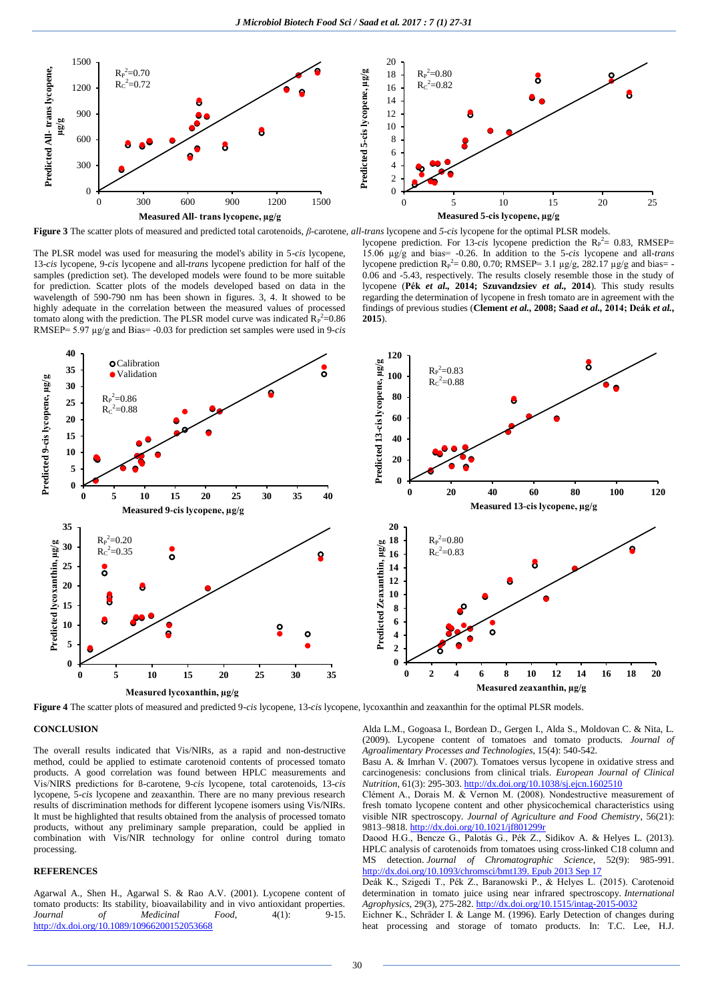

**Figure 3** The scatter plots of measured and predicted total carotenoids, *β*-carotene, *all-trans* lycopene and *5-cis* lycopene for the optimal PLSR models.

The PLSR model was used for measuring the model's ability in 5-*cis* lycopene, 13-*cis* lycopene, 9-*cis* lycopene and all-*trans* lycopene prediction for half of the samples (prediction set). The developed models were found to be more suitable for prediction. Scatter plots of the models developed based on data in the wavelength of 590-790 nm has been shown in figures. 3, 4. It showed to be highly adequate in the correlation between the measured values of processed tomato along with the prediction. The PLSR model curve was indicated  $R_P^2 = 0.86$ RMSEP= 5.97 µg/g and Bias= -0.03 for prediction set samples were used in 9-*cis*

lycopene prediction. For 13-*cis* lycopene prediction the  $R_P^2 = 0.83$ , RMSEP= 15.06 µg/g and bias= -0.26. In addition to the 5-*cis* lycopene and all-*trans* lycopene prediction  $R_P^2 = 0.80, 0.70$ ; RMSEP= 3.1  $\mu$ g/g, 282.17  $\mu$ g/g and bias= -0.06 and -5.43, respectively. The results closely resemble those in the study of lycopene (**Pék** *et al.,* **2014; Szuvandzsiev** *et al.,* **2014**). This study results regarding the determination of lycopene in fresh tomato are in agreement with the findings of previous studies (**Clement** *et al.,* **2008; Saad** *et al.,* **2014; Deák** *et al.***, 2015**).



**Figure 4** The scatter plots of measured and predicted 9-*cis* lycopene, 13-*cis* lycopene, lycoxanthin and zeaxanthin for the optimal PLSR models.

# **CONCLUSION**

The overall results indicated that Vis/NIRs, as a rapid and non-destructive method, could be applied to estimate carotenoid contents of processed tomato products. A good correlation was found between HPLC measurements and Vis/NIRS predictions for ß-carotene, 9-*cis* lycopene, total carotenoids, 13-*cis* lycopene, 5-*cis* lycopene and zeaxanthin. There are no many previous research results of discrimination methods for different lycopene isomers using Vis/NIRs. It must be highlighted that results obtained from the analysis of processed tomato products, without any preliminary sample preparation, could be applied in combination with Vis/NIR technology for online control during tomato processing.

# **REFERENCES**

Agarwal A., Shen H., Agarwal S. & Rao A.V. (2001). Lycopene content of tomato products: Its stability, bioavailability and in vivo antioxidant properties. *Journal of Medicinal Food*,  $4(1)$ : 9-15. <http://dx.doi.org/10.1089/10966200152053668>

Alda L.M., Gogoasa I., Bordean D., Gergen I., Alda S., Moldovan C. & Nita, L. (2009). Lycopene content of tomatoes and tomato products. *Journal of Agroalimentary Processes and Technologies*, 15(4): 540-542.

Basu A. & Imrhan V. (2007). Tomatoes versus lycopene in oxidative stress and carcinogenesis: conclusions from clinical trials. *European Journal of Clinical Nutrition*, 61(3): 295-303. http://dx.doi.org/10.1038/sj.ejcn.1602510

Clément A., Dorais M. & Vernon M. (2008). Nondestructive measurement of fresh tomato lycopene content and other physicochemical characteristics using visible NIR spectroscopy. *Journal of Agriculture and Food Chemistry*, 56(21): 9813–9818. http://dx.doi.org/10.1021/jf801299r

Daood H.G., Bencze G., Palotás G., Pék Z., Sidikov A. & Helyes L. (2013). HPLC analysis of carotenoids from tomatoes using cross-linked C18 column and MS detection. *Journal of Chromatographic Science*, 52(9): 985-991. http://dx.doi.org/10.1093/chromsci/bmt139. Epub 2013 Sep 17

Deák K., Szigedi T., Pék Z., Baranowski P., & Helyes L. (2015). Carotenoid determination in tomato juice using near infrared spectroscopy. *International Agrophysics*, 29(3), 275-282. http://dx.doi.org/10.1515/intag-2015-0032

Eichner K., Schräder I. & Lange M. (1996). Early Detection of changes during heat processing and storage of tomato products. In: T.C. Lee, H.J.